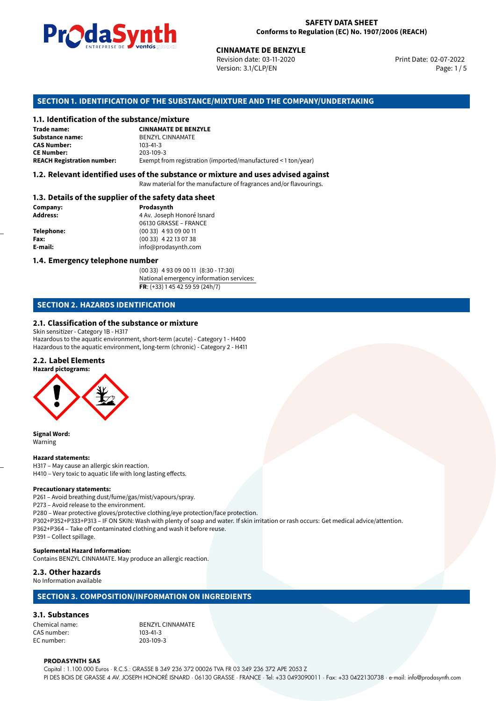

Revision date: 03-11-2020 Version: 3.1/CLP/EN Page: 1 / 5

Print Date: 02-07-2022

# **SECTION 1. IDENTIFICATION OF THE SUBSTANCE/MIXTURE AND THE COMPANY/UNDERTAKING**

#### **1.1. Identification of the substance/mixture**

|                                              | LININE FRISE DE SUS VOIHUS SINGERIST<br><b>CINNAMATE DE BENZYLE</b><br>Revision date: 03-11-2020<br>Version: 3.1/CLP/EN |
|----------------------------------------------|-------------------------------------------------------------------------------------------------------------------------|
|                                              | SECTION 1. IDENTIFICATION OF THE SUBSTANCE/MIXTURE AND THE COMPANY/U                                                    |
| 1.1. Identification of the substance/mixture |                                                                                                                         |
| Trade name:                                  | <b>CINNAMATE DE BENZYLE</b>                                                                                             |
| Substance name:                              | <b>BENZYL CINNAMATE</b>                                                                                                 |
| <b>CAS Number:</b>                           | $103 - 41 - 3$                                                                                                          |
| <b>CE Number:</b>                            | 203-109-3                                                                                                               |
| <b>REACH Registration number:</b>            | Exempt from registration (imported/manufactured < 1 ton/year)                                                           |
|                                              |                                                                                                                         |

### **1.2. Relevant identified uses of the substance or mixture and uses advised against**

Raw material for the manufacture of fragrances and/or flavourings.

#### **1.3. Details of the supplier of the safety data sheet**

| Company:   | Prodasynth                 |  |
|------------|----------------------------|--|
| Address:   | 4 Av. Joseph Honoré Isnard |  |
|            | 06130 GRASSE - FRANCE      |  |
| Telephone: | $(0033)$ 4 93 09 00 11     |  |
| Fax:       | $(0033)$ 4 22 13 07 38     |  |
| E-mail:    | info@prodasynth.com        |  |
|            |                            |  |

# **1.4. Emergency telephone number**

(00 33) 4 93 09 00 11 (8:30 - 17:30) National emergency information services: **FR**: (+33) 1 45 42 59 59 (24h/7)

# **SECTION 2. HAZARDS IDENTIFICATION**

### **2.1. Classification of the substance or mixture**

Skin sensitizer - Category 1B - H317 Hazardous to the aquatic environment, short-term (acute) - Category 1 - H400 Hazardous to the aquatic environment, long-term (chronic) - Category 2 - H411

#### **2.2. Label Elements**

**Hazard pictograms:**



**Signal Word:** Warning

#### **Hazard statements:**

H317 – May cause an allergic skin reaction. H410 – Very toxic to aquatic life with long lasting effects.

#### **Precautionary statements:**

P261 – Avoid breathing dust/fume/gas/mist/vapours/spray.

P273 – Avoid release to the environment.

P280 – Wear protective gloves/protective clothing/eye protection/face protection.

P302+P352+P333+P313 – IF ON SKIN: Wash with plenty of soap and water. If skin irritation or rash occurs: Get medical advice/attention. P362+P364 – Take off contaminated clothing and wash it before reuse.

P391 – Collect spillage.

#### **Suplemental Hazard Information:**

Contains BENZYL CINNAMATE. May produce an allergic reaction.

# **2.3. Other hazards**

No Information available

## **SECTION 3. COMPOSITION/INFORMATION ON INGREDIENTS**

#### **3.1. Substances**

CAS number: 103-41-3<br>EC number: 203-109-3 EC number:

Chemical name: BENZYL CINNAMATE

#### **PRODASYNTH SAS**

Capital : 1.100.000 Euros · R.C.S.: GRASSE B 349 236 372 00026 TVA FR 03 349 236 372 APE 2053 Z PI DES BOIS DE GRASSE 4 AV. JOSEPH HONORÉ ISNARD · 06130 GRASSE · FRANCE · Tel: +33 0493090011 · Fax: +33 0422130738 · e-mail: info@prodasynth.com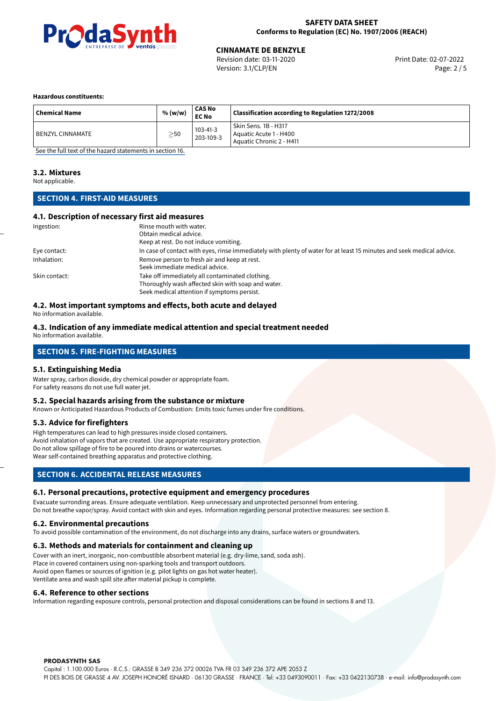

Revision date: 03-11-2020 Version: 3.1/CLP/EN Page: 2 / 5

#### **Hazardous constituents:**

| <b>Chemical Name</b> | % (w/w)   | <b>CAS No</b><br><b>EC No</b> | Classification according to Regulation 1272/2008                           |
|----------------------|-----------|-------------------------------|----------------------------------------------------------------------------|
| BENZYL CINNAMATE     | $\geq$ 50 | $103 - 41 - 3$<br>203-109-3   | Skin Sens. 1B - H317<br>Aquatic Acute 1 - H400<br>Aquatic Chronic 2 - H411 |

[See the full text of the hazard statements in section 16.](#page-4-0)

#### **3.2. Mixtures**

Not applicable.

# **SECTION 4. FIRST-AID MEASURES**

#### **4.1. Description of necessary first aid measures**

| Ingestion:    | Rinse mouth with water.                                                                                               |
|---------------|-----------------------------------------------------------------------------------------------------------------------|
|               | Obtain medical advice.                                                                                                |
|               | Keep at rest. Do not induce vomiting.                                                                                 |
| Eye contact:  | In case of contact with eyes, rinse immediately with plenty of water for at least 15 minutes and seek medical advice. |
| Inhalation:   | Remove person to fresh air and keep at rest.                                                                          |
|               | Seek immediate medical advice.                                                                                        |
| Skin contact: | Take off immediately all contaminated clothing.                                                                       |
|               | Thoroughly wash affected skin with soap and water.                                                                    |
|               | Seek medical attention if symptoms persist.                                                                           |

#### **4.2. Most important symptoms and effects, both acute and delayed**

No information available.

#### **4.3. Indication of any immediate medical attention and special treatment needed**

No information available.

# **SECTION 5. FIRE-FIGHTING MEASURES**

#### **5.1. Extinguishing Media**

Water spray, carbon dioxide, dry chemical powder or appropriate foam. For safety reasons do not use full water jet.

#### **5.2. Special hazards arising from the substance or mixture**

Known or Anticipated Hazardous Products of Combustion: Emits toxic fumes under fire conditions.

#### **5.3. Advice for firefighters**

High temperatures can lead to high pressures inside closed containers. Avoid inhalation of vapors that are created. Use appropriate respiratory protection. Do not allow spillage of fire to be poured into drains or watercourses. Wear self-contained breathing apparatus and protective clothing.

# **SECTION 6. ACCIDENTAL RELEASE MEASURES**

#### **6.1. Personal precautions, protective equipment and emergency procedures**

Evacuate surronding areas. Ensure adequate ventilation. Keep unnecessary and unprotected personnel from entering. Do not breathe vapor/spray. Avoid contact with skin and eyes. Information regarding personal protective measures: see section 8.

#### **6.2. Environmental precautions**

To avoid possible contamination of the environment, do not discharge into any drains, surface waters or groundwaters.

#### **6.3. Methods and materials for containment and cleaning up**

Cover with an inert, inorganic, non-combustible absorbent material (e.g. dry-lime, sand, soda ash). Place in covered containers using non-sparking tools and transport outdoors. Avoid open flames or sources of ignition (e.g. pilot lights on gas hot water heater). Ventilate area and wash spill site after material pickup is complete.

#### **6.4. Reference to other sections**

Information regarding exposure controls, personal protection and disposal considerations can be found in sections 8 and 13.

#### **PRODASYNTH SAS**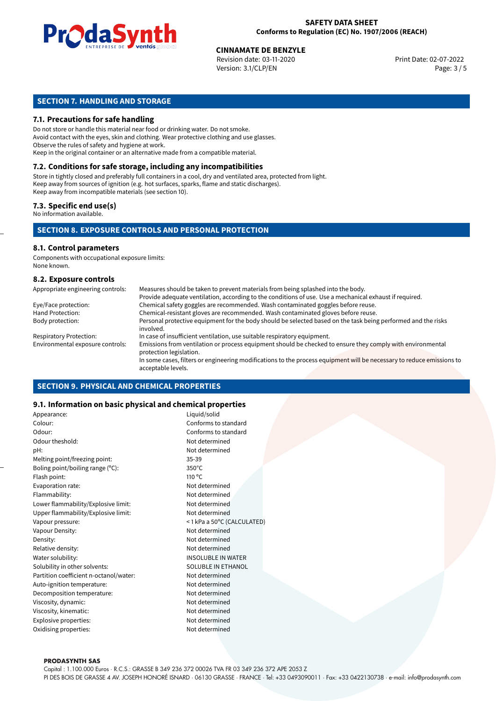

Revision date: 03-11-2020 Version: 3.1/CLP/EN Page: 3 / 5

# **SECTION 7. HANDLING AND STORAGE**

#### **7.1. Precautions for safe handling**

Do not store or handle this material near food or drinking water. Do not smoke. Avoid contact with the eyes, skin and clothing. Wear protective clothing and use glasses. Observe the rules of safety and hygiene at work. Keep in the original container or an alternative made from a compatible material.

# **7.2. Conditions for safe storage, including any incompatibilities**

Store in tightly closed and preferably full containers in a cool, dry and ventilated area, protected from light. Keep away from sources of ignition (e.g. hot surfaces, sparks, flame and static discharges). Keep away from incompatible materials (see section 10).

#### **7.3. Specific end use(s)**

No information available.

#### **SECTION 8. EXPOSURE CONTROLS AND PERSONAL PROTECTION**

# **8.1. Control parameters**

Components with occupational exposure limits: None known.

#### **8.2. Exposure controls**

| Appropriate engineering controls: | Measures should be taken to prevent materials from being splashed into the body.                                                            |
|-----------------------------------|---------------------------------------------------------------------------------------------------------------------------------------------|
|                                   | Provide adequate ventilation, according to the conditions of use. Use a mechanical exhaust if required.                                     |
| Eye/Face protection:              | Chemical safety goggles are recommended. Wash contaminated goggles before reuse.                                                            |
| Hand Protection:                  | Chemical-resistant gloves are recommended. Wash contaminated gloves before reuse.                                                           |
| Body protection:                  | Personal protective equipment for the body should be selected based on the task being performed and the risks<br>involved.                  |
| <b>Respiratory Protection:</b>    | In case of insufficient ventilation, use suitable respiratory equipment.                                                                    |
| Environmental exposure controls:  | Emissions from ventilation or process equipment should be checked to ensure they comply with environmental<br>protection legislation.       |
|                                   | In some cases, filters or engineering modifications to the process equipment will be necessary to reduce emissions to<br>acceptable levels. |

#### **SECTION 9. PHYSICAL AND CHEMICAL PROPERTIES**

### **9.1. Information on basic physical and chemical properties**

| Appearance:                            | Liquid/solid               |
|----------------------------------------|----------------------------|
| Colour:                                | Conforms to standard       |
| Odour:                                 | Conforms to standard       |
| Odour theshold:                        | Not determined             |
| pH:                                    | Not determined             |
| Melting point/freezing point:          | $35 - 39$                  |
| Boling point/boiling range (°C):       | $350^{\circ}$ C            |
| Flash point:                           | $110^{\circ}$ C            |
| Evaporation rate:                      | Not determined             |
| Flammability:                          | Not determined             |
| Lower flammability/Explosive limit:    | Not determined             |
| Upper flammability/Explosive limit:    | Not determined             |
| Vapour pressure:                       | <1 kPa a 50°C (CALCULATED) |
| Vapour Density:                        | Not determined             |
| Density:                               | Not determined             |
| Relative density:                      | Not determined             |
| Water solubility:                      | <b>INSOLUBLE IN WATER</b>  |
| Solubility in other solvents:          | SOLUBLE IN ETHANOL         |
| Partition coefficient n-octanol/water: | Not determined             |
| Auto-ignition temperature:             | Not determined             |
| Decomposition temperature:             | Not determined             |
| Viscosity, dynamic:                    | Not determined             |
| Viscosity, kinematic:                  | Not determined             |
| Explosive properties:                  | Not determined             |
| Oxidising properties:                  | Not determined             |
|                                        |                            |

#### **PRODASYNTH SAS**

Capital : 1.100.000 Euros · R.C.S.: GRASSE B 349 236 372 00026 TVA FR 03 349 236 372 APE 2053 Z PI DES BOIS DE GRASSE 4 AV. JOSEPH HONORÉ ISNARD · 06130 GRASSE · FRANCE · Tel: +33 0493090011 · Fax: +33 0422130738 · e-mail: info@prodasynth.com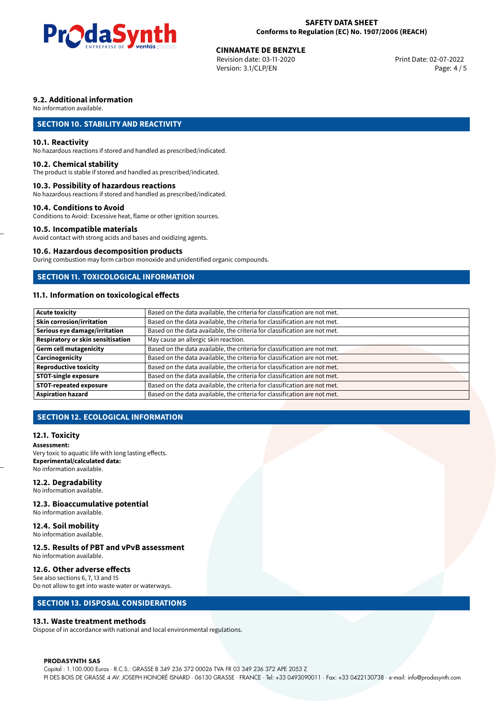

Revision date: 03-11-2020 Version: 3.1/CLP/EN Page: 4 / 5

# **9.2. Additional information**

No information available.

# **SECTION 10. STABILITY AND REACTIVITY**

#### **10.1. Reactivity**

No hazardous reactions if stored and handled as prescribed/indicated.

#### **10.2. Chemical stability**

The product is stable if stored and handled as prescribed/indicated.

#### **10.3. Possibility of hazardous reactions**

No hazardous reactions if stored and handled as prescribed/indicated.

#### **10.4. Conditions to Avoid**

Conditions to Avoid: Excessive heat, flame or other ignition sources.

### **10.5. Incompatible materials**

Avoid contact with strong acids and bases and oxidizing agents.

#### **10.6. Hazardous decomposition products**

During combustion may form carbon monoxide and unidentified organic compounds.

### **SECTION 11. TOXICOLOGICAL INFORMATION**

# **11.1. Information on toxicological effects**

| <b>Acute toxicity</b>             | Based on the data available, the criteria for classification are not met. |
|-----------------------------------|---------------------------------------------------------------------------|
| Skin corrosion/irritation         | Based on the data available, the criteria for classification are not met. |
| Serious eye damage/irritation     | Based on the data available, the criteria for classification are not met. |
| Respiratory or skin sensitisation | May cause an allergic skin reaction.                                      |
| Germ cell mutagenicity            | Based on the data available, the criteria for classification are not met. |
| Carcinogenicity                   | Based on the data available, the criteria for classification are not met. |
| <b>Reproductive toxicity</b>      | Based on the data available, the criteria for classification are not met. |
| STOT-single exposure              | Based on the data available, the criteria for classification are not met. |
| <b>STOT-repeated exposure</b>     | Based on the data available, the criteria for classification are not met. |
| <b>Aspiration hazard</b>          | Based on the data available, the criteria for classification are not met. |

# **SECTION 12. ECOLOGICAL INFORMATION**

#### **12.1. Toxicity**

**Assessment:** Very toxic to aquatic life with long lasting effects. **Experimental/calculated data:** No information available.

#### **12.2. Degradability**

No information available.

#### **12.3. Bioaccumulative potential**

No information available.

# **12.4. Soil mobility**

No information available.

# **12.5. Results of PBT and vPvB assessment**

No information available.

### **12.6. Other adverse effects**

See also sections 6, 7, 13 and 15 Do not allow to get into waste water or waterways.

# **SECTION 13. DISPOSAL CONSIDERATIONS**

#### **13.1. Waste treatment methods**

Dispose of in accordance with national and local environmental regulations.

#### **PRODASYNTH SAS**

Capital : 1.100.000 Euros · R.C.S.: GRASSE B 349 236 372 00026 TVA FR 03 349 236 372 APE 2053 Z PI DES BOIS DE GRASSE 4 AV. JOSEPH HONORÉ ISNARD · 06130 GRASSE · FRANCE · Tel: +33 0493090011 · Fax: +33 0422130738 · e-mail: info@prodasynth.com